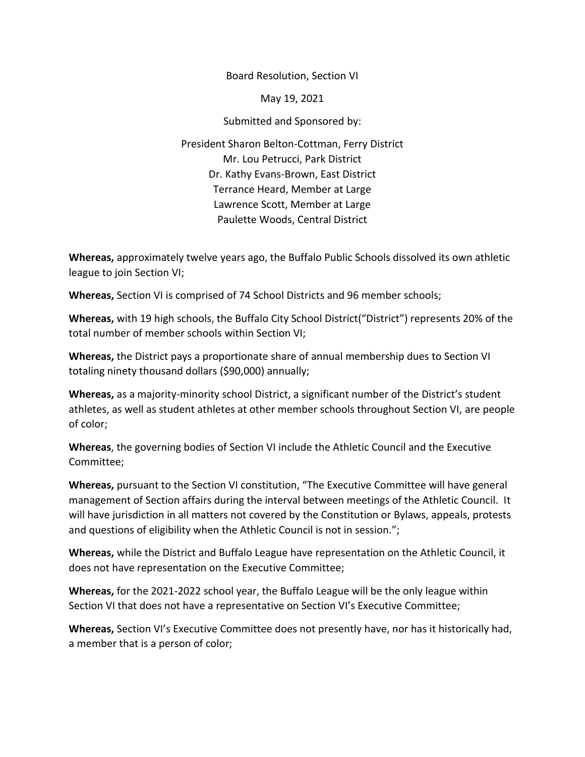Board Resolution, Section VI

May 19, 2021

Submitted and Sponsored by:

President Sharon Belton-Cottman, Ferry District Mr. Lou Petrucci, Park District Dr. Kathy Evans-Brown, East District Terrance Heard, Member at Large Lawrence Scott, Member at Large Paulette Woods, Central District

**Whereas,** approximately twelve years ago, the Buffalo Public Schools dissolved its own athletic league to join Section VI;

**Whereas,** Section VI is comprised of 74 School Districts and 96 member schools;

**Whereas,** with 19 high schools, the Buffalo City School District<sup>"</sup> ("District") represents 20% of the total number of member schools within Section VI;

**Whereas,** the District pays a proportionate share of annual membership dues to Section VI totaling ninety thousand dollars (\$90,000) annually;

**Whereas,** as a majority-minority school District, a significant number of the District's student athletes, as well as student athletes at other member schools throughout Section VI, are people of color;

**Whereas**, the governing bodies of Section VI include the Athletic Council and the Executive Committee;

**Whereas,** pursuant to the Section VI constitution, "The Executive Committee will have general management of Section affairs during the interval between meetings of the Athletic Council. It will have jurisdiction in all matters not covered by the Constitution or Bylaws, appeals, protests and questions of eligibility when the Athletic Council is not in session.";

**Whereas,** while the District and Buffalo League have representation on the Athletic Council, it does not have representation on the Executive Committee;

**Whereas,** for the 2021-2022 school year, the Buffalo League will be the only league within Section VI that does not have a representative on Section VI's Executive Committee;

**Whereas,** Section VI's Executive Committee does not presently have, nor has it historically had, a member that is a person of color;